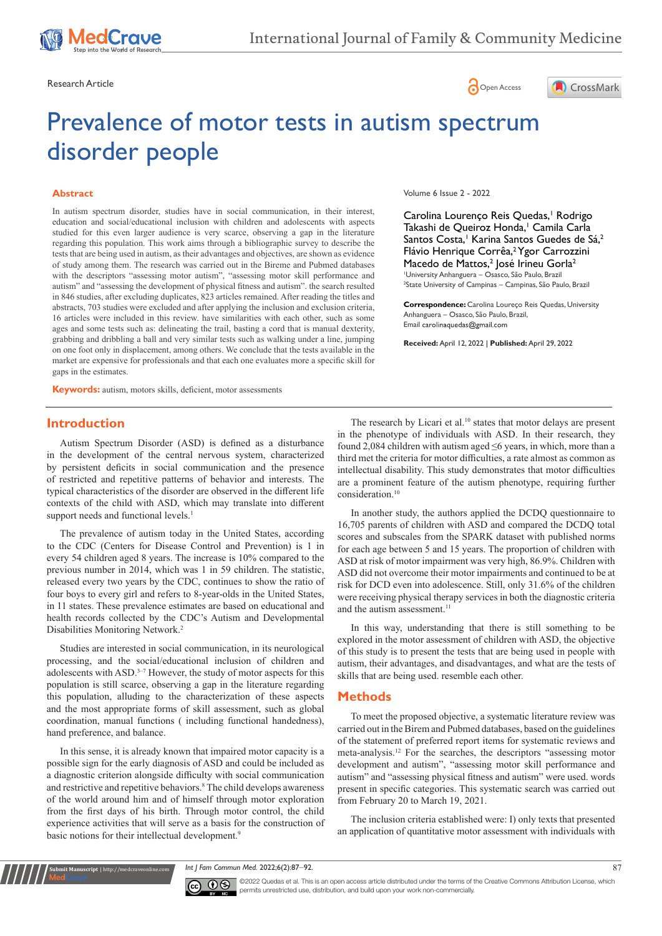





# Prevalence of motor tests in autism spectrum disorder people

#### **Abstract**

In autism spectrum disorder, studies have in social communication, in their interest, education and social/educational inclusion with children and adolescents with aspects studied for this even larger audience is very scarce, observing a gap in the literature regarding this population. This work aims through a bibliographic survey to describe the tests that are being used in autism, as their advantages and objectives, are shown as evidence of study among them. The research was carried out in the Bireme and Pubmed databases with the descriptors "assessing motor autism", "assessing motor skill performance and autism" and "assessing the development of physical fitness and autism". the search resulted in 846 studies, after excluding duplicates, 823 articles remained. After reading the titles and abstracts, 703 studies were excluded and after applying the inclusion and exclusion criteria, 16 articles were included in this review. have similarities with each other, such as some ages and some tests such as: delineating the trail, basting a cord that is manual dexterity, grabbing and dribbling a ball and very similar tests such as walking under a line, jumping on one foot only in displacement, among others. We conclude that the tests available in the market are expensive for professionals and that each one evaluates more a specific skill for gaps in the estimates.

**Keywords:** autism, motors skills, deficient, motor assessments

#### **Introduction**

Autism Spectrum Disorder (ASD) is defined as a disturbance in the development of the central nervous system, characterized by persistent deficits in social communication and the presence of restricted and repetitive patterns of behavior and interests. The typical characteristics of the disorder are observed in the different life contexts of the child with ASD, which may translate into different support needs and functional levels.<sup>1</sup>

The prevalence of autism today in the United States, according to the CDC (Centers for Disease Control and Prevention) is 1 in every 54 children aged 8 years. The increase is 10% compared to the previous number in 2014, which was 1 in 59 children. The statistic, released every two years by the CDC, continues to show the ratio of four boys to every girl and refers to 8-year-olds in the United States, in 11 states. These prevalence estimates are based on educational and health records collected by the CDC's Autism and Developmental Disabilities Monitoring Network.2

Studies are interested in social communication, in its neurological processing, and the social/educational inclusion of children and adolescents with ASD.<sup>3-7</sup> However, the study of motor aspects for this population is still scarce, observing a gap in the literature regarding this population, alluding to the characterization of these aspects and the most appropriate forms of skill assessment, such as global coordination, manual functions ( including functional handedness), hand preference, and balance.

In this sense, it is already known that impaired motor capacity is a possible sign for the early diagnosis of ASD and could be included as a diagnostic criterion alongside difficulty with social communication and restrictive and repetitive behaviors.<sup>8</sup> The child develops awareness of the world around him and of himself through motor exploration from the first days of his birth. Through motor control, the child experience activities that will serve as a basis for the construction of basic notions for their intellectual development.<sup>9</sup>

**Submit Manuscript** | http://medcraveonline.com

Volume 6 Issue 2 - 2022

Carolina Lourenço Reis Quedas,<sup>1</sup> Rodrigo Takashi de Queiroz Honda,<sup>1</sup> Camila Carla Santos Costa,<sup>1</sup> Karina Santos Guedes de Sá,<sup>2</sup> Flávio Henrique Corrêa,<sup>2</sup> Ygor Carrozzini Macedo de Mattos,<sup>2</sup> José Irineu Gorla<sup>2</sup> 1 University Anhanguera – Osasco, São Paulo, Brazil 2 State University of Campinas – Campinas, São Paulo, Brazil

**Correspondence:** Carolina Loureço Reis Quedas, University Anhanguera – Osasco, São Paulo, Brazil, Email carolinaquedas@gmail.com

**Received:** April 12, 2022 | **Published:** April 29, 2022

The research by Licari et al.<sup>10</sup> states that motor delays are present in the phenotype of individuals with ASD. In their research, they found 2,084 children with autism aged ≤6 years, in which, more than a third met the criteria for motor difficulties, a rate almost as common as intellectual disability. This study demonstrates that motor difficulties are a prominent feature of the autism phenotype, requiring further consideration.10

In another study, the authors applied the DCDQ questionnaire to 16,705 parents of children with ASD and compared the DCDQ total scores and subscales from the SPARK dataset with published norms for each age between 5 and 15 years. The proportion of children with ASD at risk of motor impairment was very high, 86.9%. Children with ASD did not overcome their motor impairments and continued to be at risk for DCD even into adolescence. Still, only 31.6% of the children were receiving physical therapy services in both the diagnostic criteria and the autism assessment.<sup>11</sup>

In this way, understanding that there is still something to be explored in the motor assessment of children with ASD, the objective of this study is to present the tests that are being used in people with autism, their advantages, and disadvantages, and what are the tests of skills that are being used. resemble each other.

#### **Methods**

To meet the proposed objective, a systematic literature review was carried out in the Birem and Pubmed databases, based on the guidelines of the statement of preferred report items for systematic reviews and meta-analysis.12 For the searches, the descriptors "assessing motor development and autism", "assessing motor skill performance and autism" and "assessing physical fitness and autism" were used. words present in specific categories. This systematic search was carried out from February 20 to March 19, 2021.

The inclusion criteria established were: I) only texts that presented an application of quantitative motor assessment with individuals with

*Int J Fam Commun Med.* 2022;6(2):87‒92. 87



©2022 Quedas et al. This is an open access article distributed under the terms of the [Creative Commons Attribution License,](https://creativecommons.org/licenses/by-nc/4.0/) which permits unrestricted use, distribution, and build upon your work non-commercially.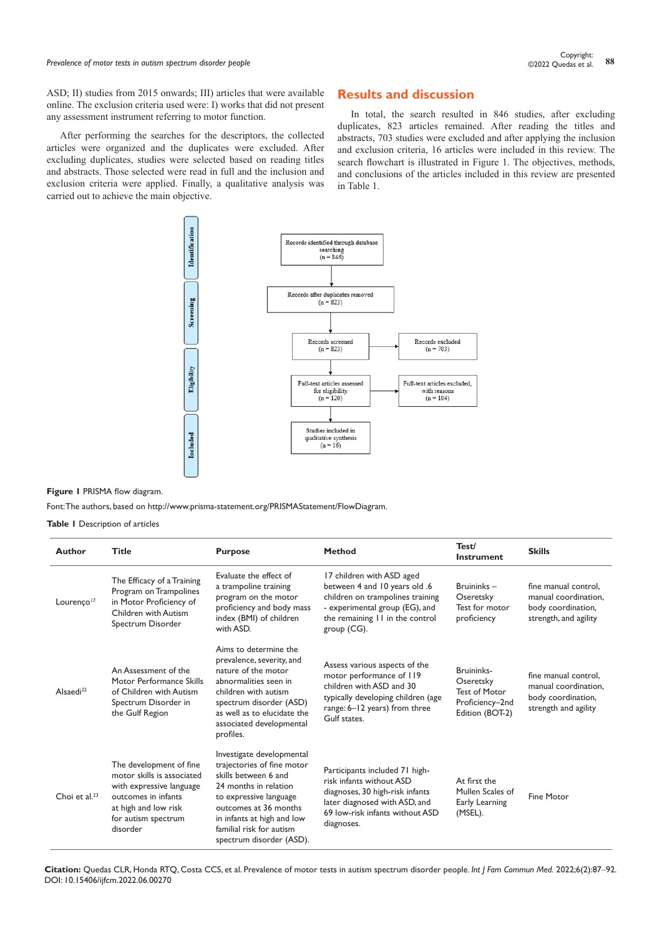ASD; II) studies from 2015 onwards; III) articles that were available online. The exclusion criteria used were: I) works that did not present any assessment instrument referring to motor function.

After performing the searches for the descriptors, the collected articles were organized and the duplicates were excluded. After excluding duplicates, studies were selected based on reading titles and abstracts. Those selected were read in full and the inclusion and exclusion criteria were applied. Finally, a qualitative analysis was carried out to achieve the main objective.

# **Results and discussion**

In total, the search resulted in 846 studies, after excluding duplicates, 823 articles remained. After reading the titles and abstracts, 703 studies were excluded and after applying the inclusion and exclusion criteria, 16 articles were included in this review. The search flowchart is illustrated in Figure 1. The objectives, methods, and conclusions of the articles included in this review are presented in Table 1.



**Figure 1** PRISMA flow diagram.

Font: The authors, based on <http://www.prisma-statement.org/PRISMAStatement/FlowDiagram>.

**Table 1** Description of articles

| <b>Author</b>          | <b>Title</b>                                                                                                                                                        | <b>Purpose</b>                                                                                                                                                                                                                                    | <b>Method</b>                                                                                                                                                                         | Test/<br>Instrument                                                                   | <b>Skills</b>                                                                               |
|------------------------|---------------------------------------------------------------------------------------------------------------------------------------------------------------------|---------------------------------------------------------------------------------------------------------------------------------------------------------------------------------------------------------------------------------------------------|---------------------------------------------------------------------------------------------------------------------------------------------------------------------------------------|---------------------------------------------------------------------------------------|---------------------------------------------------------------------------------------------|
| Lourenco <sup>17</sup> | The Efficacy of a Training<br>Program on Trampolines<br>in Motor Proficiency of<br>Children with Autism<br>Spectrum Disorder                                        | Evaluate the effect of<br>a trampoline training<br>program on the motor<br>proficiency and body mass<br>index (BMI) of children<br>with ASD.                                                                                                      | 17 children with ASD aged<br>between 4 and 10 years old .6<br>children on trampolines training<br>- experimental group (EG), and<br>the remaining II in the control<br>group $(CG)$ . | Bruininks-<br>Oseretsky<br>Test for motor<br>proficiency                              | fine manual control.<br>manual coordination.<br>body coordination,<br>strength, and agility |
| Alsaedi <sup>22</sup>  | An Assessment of the<br>Motor Performance Skills<br>of Children with Autism<br>Spectrum Disorder in<br>the Gulf Region                                              | Aims to determine the<br>prevalence, severity, and<br>nature of the motor<br>abnormalities seen in<br>children with autism<br>spectrum disorder (ASD)<br>as well as to elucidate the<br>associated developmental<br>profiles.                     | Assess various aspects of the<br>motor performance of 119<br>children with ASD and 30<br>typically developing children (age<br>range: 6-12 years) from three<br>Gulf states.          | Bruininks-<br>Oseretsky<br><b>Test of Motor</b><br>Proficiency-2nd<br>Edition (BOT-2) | fine manual control.<br>manual coordination,<br>body coordination,<br>strength and agility  |
| Choi et $al^{23}$      | The development of fine<br>motor skills is associated<br>with expressive language<br>outcomes in infants<br>at high and low risk<br>for autism spectrum<br>disorder | Investigate developmental<br>trajectories of fine motor<br>skills between 6 and<br>24 months in relation<br>to expressive language<br>outcomes at 36 months<br>in infants at high and low<br>familial risk for autism<br>spectrum disorder (ASD). | Participants included 71 high-<br>risk infants without ASD<br>diagnoses, 30 high-risk infants<br>later diagnosed with ASD, and<br>69 low-risk infants without ASD<br>diagnoses.       | At first the<br>Mullen Scales of<br>Early Learning<br>(MSEL).                         | <b>Fine Motor</b>                                                                           |

**Citation:** Quedas CLR, Honda RTQ, Costa CCS, et al. Prevalence of motor tests in autism spectrum disorder people. *Int J Fam Commun Med.* 2022;6(2):87‒92. DOI: [10.15406/ijfcm.2022.06.00270](https://doi.org/10.15406/ijfcm.2022.06.00270)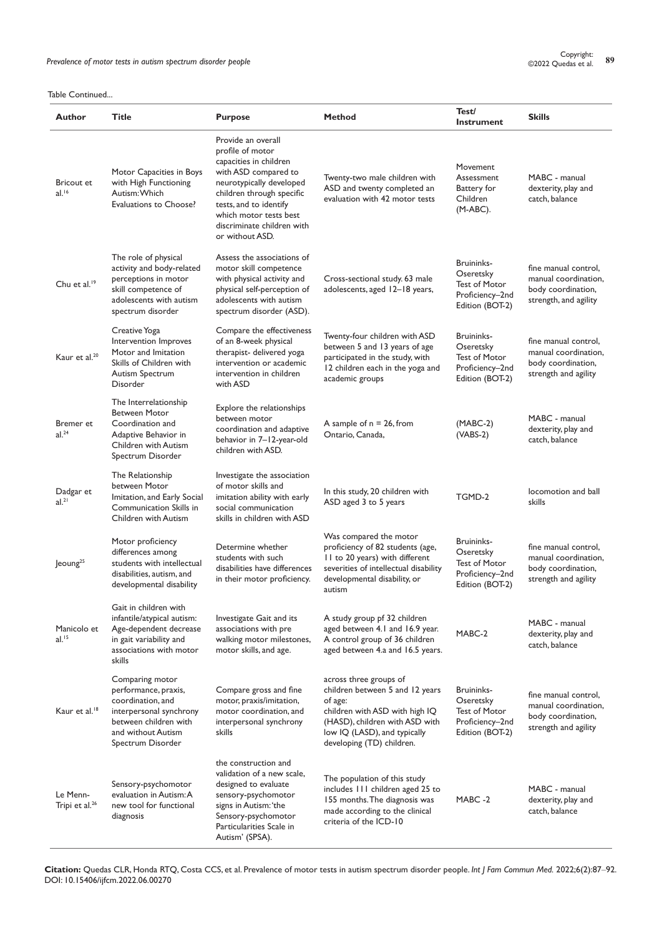Prevalence of motor tests in autism spectrum disorder people<br><sup>89</sup> Prevalence of motor tests in autism spectrum disorder people

Table Continued...

| Author                                 | <b>Title</b>                                                                                                                                                | <b>Purpose</b>                                                                                                                                                                                                                                         | <b>Method</b>                                                                                                                                                                                         | Test/<br><b>Instrument</b>                                                            | <b>Skills</b>                                                                               |
|----------------------------------------|-------------------------------------------------------------------------------------------------------------------------------------------------------------|--------------------------------------------------------------------------------------------------------------------------------------------------------------------------------------------------------------------------------------------------------|-------------------------------------------------------------------------------------------------------------------------------------------------------------------------------------------------------|---------------------------------------------------------------------------------------|---------------------------------------------------------------------------------------------|
| <b>Bricout et</b><br>$al.^{16}$        | Motor Capacities in Boys<br>with High Functioning<br>Autism: Which<br>Evaluations to Choose?                                                                | Provide an overall<br>profile of motor<br>capacities in children<br>with ASD compared to<br>neurotypically developed<br>children through specific<br>tests, and to identify<br>which motor tests best<br>discriminate children with<br>or without ASD. | Twenty-two male children with<br>ASD and twenty completed an<br>evaluation with 42 motor tests                                                                                                        | Movement<br>Assessment<br>Battery for<br>Children<br>$(M-ABC)$ .                      | MABC - manual<br>dexterity, play and<br>catch, balance                                      |
| Chu et al. <sup>19</sup>               | The role of physical<br>activity and body-related<br>perceptions in motor<br>skill competence of<br>adolescents with autism<br>spectrum disorder            | Assess the associations of<br>motor skill competence<br>with physical activity and<br>physical self-perception of<br>adolescents with autism<br>spectrum disorder (ASD).                                                                               | Cross-sectional study. 63 male<br>adolescents, aged 12-18 years,                                                                                                                                      | Bruininks-<br>Oseretsky<br><b>Test of Motor</b><br>Proficiency-2nd<br>Edition (BOT-2) | fine manual control,<br>manual coordination,<br>body coordination,<br>strength, and agility |
| Kaur et al. <sup>20</sup>              | Creative Yoga<br>Intervention Improves<br>Motor and Imitation<br>Skills of Children with<br><b>Autism Spectrum</b><br>Disorder                              | Compare the effectiveness<br>of an 8-week physical<br>therapist- delivered yoga<br>intervention or academic<br>intervention in children<br>with ASD                                                                                                    | Twenty-four children with ASD<br>between 5 and 13 years of age<br>participated in the study, with<br>12 children each in the yoga and<br>academic groups                                              | Bruininks-<br>Oseretsky<br>Test of Motor<br>Proficiency-2nd<br>Edition (BOT-2)        | fine manual control,<br>manual coordination,<br>body coordination,<br>strength and agility  |
| Bremer et<br>al. <sup>24</sup>         | The Interrelationship<br><b>Between Motor</b><br>Coordination and<br>Adaptive Behavior in<br>Children with Autism<br>Spectrum Disorder                      | Explore the relationships<br>between motor<br>coordination and adaptive<br>behavior in 7-12-year-old<br>children with ASD.                                                                                                                             | A sample of $n = 26$ , from<br>Ontario, Canada,                                                                                                                                                       | $(MABC-2)$<br>$(VABS-2)$                                                              | MABC - manual<br>dexterity, play and<br>catch, balance                                      |
| Dadgar et<br>$al.^{21}$                | The Relationship<br>between Motor<br>Imitation, and Early Social<br>Communication Skills in<br>Children with Autism                                         | Investigate the association<br>of motor skills and<br>imitation ability with early<br>social communication<br>skills in children with ASD                                                                                                              | In this study, 20 children with<br>ASD aged 3 to 5 years                                                                                                                                              | TGMD-2                                                                                | locomotion and ball<br>skills                                                               |
| Jeoung <sup>25</sup>                   | Motor proficiency<br>differences among<br>students with intellectual<br>disabilities, autism, and<br>developmental disability                               | Determine whether<br>students with such<br>disabilities have differences<br>in their motor proficiency.                                                                                                                                                | Was compared the motor<br>proficiency of 82 students (age,<br>II to 20 years) with different<br>severities of intellectual disability<br>developmental disability, or<br>autism                       | Bruininks-<br>Oseretsky<br>Test of Motor<br>Proficiency-2nd<br>Edition (BOT-2)        | fine manual control,<br>manual coordination,<br>body coordination,<br>strength and agility  |
| Manicolo et<br>$al.^{15}$              | Gait in children with<br>infantile/atypical autism:<br>Age-dependent decrease<br>in gait variability and<br>associations with motor<br>skills               | Investigate Gait and its<br>associations with pre<br>walking motor milestones,<br>motor skills, and age.                                                                                                                                               | A study group pf 32 children<br>aged between 4.1 and 16.9 year.<br>A control group of 36 children<br>aged between 4.a and 16.5 years.                                                                 | MABC-2                                                                                | MABC - manual<br>dexterity, play and<br>catch, balance                                      |
| Kaur et al. <sup>18</sup>              | Comparing motor<br>performance, praxis,<br>coordination, and<br>interpersonal synchrony<br>between children with<br>and without Autism<br>Spectrum Disorder | Compare gross and fine<br>motor, praxis/imitation,<br>motor coordination, and<br>interpersonal synchrony<br>skills                                                                                                                                     | across three groups of<br>children between 5 and 12 years<br>of age:<br>children with ASD with high IQ<br>(HASD), children with ASD with<br>low IQ (LASD), and typically<br>developing (TD) children. | Bruininks-<br>Oseretsky<br>Test of Motor<br>Proficiency-2nd<br>Edition (BOT-2)        | fine manual control,<br>manual coordination,<br>body coordination,<br>strength and agility  |
| Le Menn-<br>Tripi et al. <sup>26</sup> | Sensory-psychomotor<br>evaluation in Autism: A<br>new tool for functional<br>diagnosis                                                                      | the construction and<br>validation of a new scale,<br>designed to evaluate<br>sensory-psychomotor<br>signs in Autism: 'the<br>Sensory-psychomotor<br>Particularities Scale in<br>Autism' (SPSA).                                                       | The population of this study<br>includes 111 children aged 25 to<br>155 months. The diagnosis was<br>made according to the clinical<br>criteria of the ICD-10                                         | MABC-2                                                                                | MABC - manual<br>dexterity, play and<br>catch, balance                                      |

**Citation:** Quedas CLR, Honda RTQ, Costa CCS, et al. Prevalence of motor tests in autism spectrum disorder people. *Int J Fam Commun Med.* 2022;6(2):87‒92. DOI: [10.15406/ijfcm.2022.06.00270](https://doi.org/10.15406/ijfcm.2022.06.00270)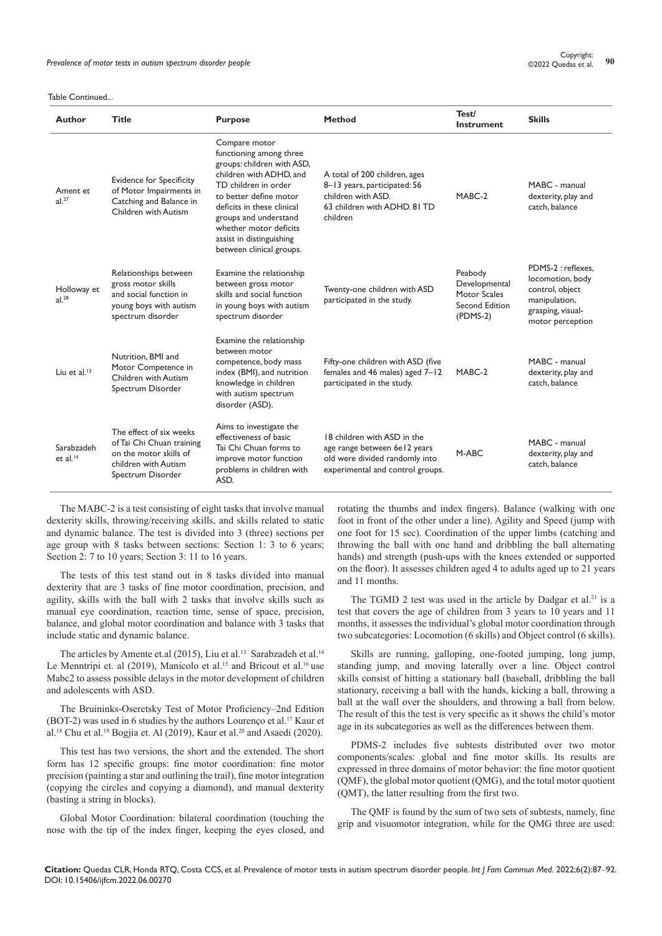| <b>Author</b>                    | <b>Title</b>                                                                                                                | <b>Purpose</b>                                                                                                                                                                                                                                                                               | <b>Method</b>                                                                                                                     | Test/<br>Instrument                                                      | <b>Skills</b>                                                                                                       |
|----------------------------------|-----------------------------------------------------------------------------------------------------------------------------|----------------------------------------------------------------------------------------------------------------------------------------------------------------------------------------------------------------------------------------------------------------------------------------------|-----------------------------------------------------------------------------------------------------------------------------------|--------------------------------------------------------------------------|---------------------------------------------------------------------------------------------------------------------|
| Ament et<br>al. <sup>27</sup>    | <b>Evidence for Specificity</b><br>of Motor Impairments in<br>Catching and Balance in<br>Children with Autism               | Compare motor<br>functioning among three<br>groups: children with ASD,<br>children with ADHD, and<br>TD children in order<br>to better define motor<br>deficits in these clinical<br>groups and understand<br>whether motor deficits<br>assist in distinguishing<br>between clinical groups. | A total of 200 children, ages<br>8-13 years, participated: 56<br>children with ASD.<br>63 children with ADHD, 81 TD<br>children   | MABC-2                                                                   | MABC - manual<br>dexterity, play and<br>catch, balance                                                              |
| Holloway et<br>al. <sup>28</sup> | Relationships between<br>gross motor skills<br>and social function in<br>young boys with autism<br>spectrum disorder        | Examine the relationship<br>between gross motor<br>skills and social function<br>in young boys with autism<br>spectrum disorder                                                                                                                                                              | Twenty-one children with ASD<br>participated in the study.                                                                        | Peabody<br>Developmental<br>Motor Scales<br>Second Edition<br>$(PDMS-2)$ | PDMS-2 : reflexes.<br>locomotion, body<br>control, object<br>manipulation,<br>grasping, visual-<br>motor perception |
| Liu et al. $13$                  | Nutrition, BMI and<br>Motor Competence in<br>Children with Autism<br>Spectrum Disorder                                      | Examine the relationship<br>between motor<br>competence, body mass<br>index (BMI), and nutrition<br>knowledge in children<br>with autism spectrum<br>disorder (ASD).                                                                                                                         | Fifty-one children with ASD (five<br>females and 46 males) aged 7-12<br>participated in the study.                                | MABC-2                                                                   | MABC - manual<br>dexterity, play and<br>catch, balance                                                              |
| Sarabzadeh<br>et al. $14$        | The effect of six weeks<br>of Tai Chi Chuan training<br>on the motor skills of<br>children with Autism<br>Spectrum Disorder | Aims to investigate the<br>effectiveness of basic<br>Tai Chi Chuan forms to<br>improve motor function<br>problems in children with<br>ASD.                                                                                                                                                   | 18 children with ASD in the<br>age range between 6e12 years<br>old were divided randomly into<br>experimental and control groups. | M-ABC                                                                    | MABC - manual<br>dexterity, play and<br>catch, balance                                                              |

The MABC-2 is a test consisting of eight tasks that involve manual dexterity skills, throwing/receiving skills, and skills related to static and dynamic balance. The test is divided into 3 (three) sections per age group with 8 tasks between sections: Section 1: 3 to 6 years; Section 2: 7 to 10 years; Section 3: 11 to 16 years.

The tests of this test stand out in 8 tasks divided into manual dexterity that are 3 tasks of fine motor coordination, precision, and agility, skills with the ball with 2 tasks that involve skills such as manual eye coordination, reaction time, sense of space, precision, balance, and global motor coordination and balance with 3 tasks that include static and dynamic balance.

The articles by Amente et.al (2015), Liu et al.<sup>13</sup> Sarabzadeh et al.<sup>14</sup> Le Menntripi et. al (2019), Manicolo et al.<sup>15</sup> and Bricout et al.<sup>16</sup> use Mabc2 to assess possible delays in the motor development of children and adolescents with ASD.

The Bruininks-Oseretsky Test of Motor Proficiency–2nd Edition (BOT-2) was used in 6 studies by the authors Lourenço et al.<sup>17</sup> Kaur et al.<sup>18</sup> Chu et al.<sup>19</sup> Bogjia et. Al (2019), Kaur et al.<sup>20</sup> and Asaedi (2020).

This test has two versions, the short and the extended. The short form has 12 specific groups: fine motor coordination: fine motor precision (painting a star and outlining the trail), fine motor integration (copying the circles and copying a diamond), and manual dexterity (basting a string in blocks).

Global Motor Coordination: bilateral coordination (touching the nose with the tip of the index finger, keeping the eyes closed, and rotating the thumbs and index fingers). Balance (walking with one foot in front of the other under a line). Agility and Speed (jump with one foot for 15 sec). Coordination of the upper limbs (catching and throwing the ball with one hand and dribbling the ball alternating hands) and strength (push-ups with the knees extended or supported on the floor). It assesses children aged 4 to adults aged up to 21 years and 11 months.

The TGMD 2 test was used in the article by Dadgar et al.<sup>21</sup> is a test that covers the age of children from 3 years to 10 years and 11 months, it assesses the individual's global motor coordination through two subcategories: Locomotion (6 skills) and Object control (6 skills).

Skills are running, galloping, one-footed jumping, long jump, standing jump, and moving laterally over a line. Object control skills consist of hitting a stationary ball (baseball, dribbling the ball stationary, receiving a ball with the hands, kicking a ball, throwing a ball at the wall over the shoulders, and throwing a ball from below. The result of this the test is very specific as it shows the child's motor age in its subcategories as well as the differences between them.

PDMS-2 includes five subtests distributed over two motor components/scales: global and fine motor skills. Its results are expressed in three domains of motor behavior: the fine motor quotient (QMF), the global motor quotient (QMG), and the total motor quotient (QMT), the latter resulting from the first two.

The QMF is found by the sum of two sets of subtests, namely, fine grip and visuomotor integration, while for the QMG three are used:

**Citation:** Quedas CLR, Honda RTQ, Costa CCS, et al. Prevalence of motor tests in autism spectrum disorder people. *Int J Fam Commun Med.* 2022;6(2):87‒92. DOI: [10.15406/ijfcm.2022.06.00270](https://doi.org/10.15406/ijfcm.2022.06.00270)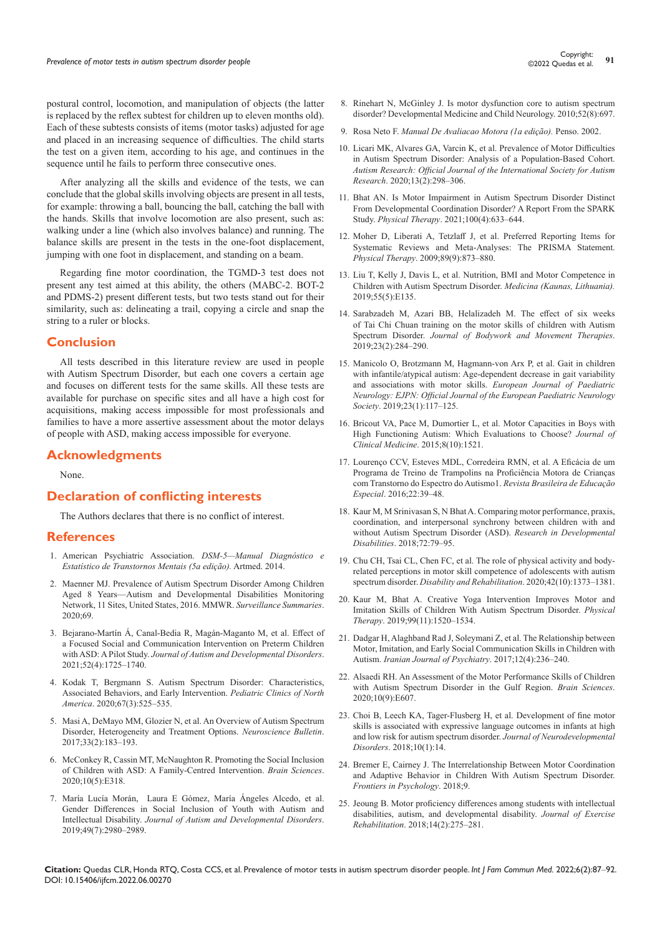postural control, locomotion, and manipulation of objects (the latter is replaced by the reflex subtest for children up to eleven months old). Each of these subtests consists of items (motor tasks) adjusted for age and placed in an increasing sequence of difficulties. The child starts the test on a given item, according to his age, and continues in the sequence until he fails to perform three consecutive ones.

After analyzing all the skills and evidence of the tests, we can conclude that the global skills involving objects are present in all tests, for example: throwing a ball, bouncing the ball, catching the ball with the hands. Skills that involve locomotion are also present, such as: walking under a line (which also involves balance) and running. The balance skills are present in the tests in the one-foot displacement, jumping with one foot in displacement, and standing on a beam.

Regarding fine motor coordination, the TGMD-3 test does not present any test aimed at this ability, the others (MABC-2. BOT-2 and PDMS-2) present different tests, but two tests stand out for their similarity, such as: delineating a trail, copying a circle and snap the string to a ruler or blocks.

## **Conclusion**

All tests described in this literature review are used in people with Autism Spectrum Disorder, but each one covers a certain age and focuses on different tests for the same skills. All these tests are available for purchase on specific sites and all have a high cost for acquisitions, making access impossible for most professionals and families to have a more assertive assessment about the motor delays of people with ASD, making access impossible for everyone.

# **Acknowledgments**

None.

## **Declaration of conflicting interests**

The Authors declares that there is no conflict of interest.

#### **References**

- 1. [American Psychiatric Association.](http://www.niip.com.br/wp-content/uploads/2018/06/Manual-Diagnosico-e-Estatistico-de-Transtornos-Mentais-DSM-5-1-pdf/) *DSM-5—Manual Diagnóstico e [Estatístico de Transtornos Mentais \(5a edição\).](http://www.niip.com.br/wp-content/uploads/2018/06/Manual-Diagnosico-e-Estatistico-de-Transtornos-Mentais-DSM-5-1-pdf/)* Artmed. 2014.
- 2. [Maenner MJ. Prevalence of Autism Spectrum Disorder Among Children](https://pubmed.ncbi.nlm.nih.gov/29701730/)  [Aged 8 Years—Autism and Developmental Disabilities Monitoring](https://pubmed.ncbi.nlm.nih.gov/29701730/)  [Network, 11 Sites, United States, 2016. MMWR.](https://pubmed.ncbi.nlm.nih.gov/29701730/) *Surveillance Summaries*. [2020;69.](https://pubmed.ncbi.nlm.nih.gov/29701730/)
- 3. [Bejarano-Martín Á, Canal-Bedia R, Magán-Maganto M, et al. Effect of](https://pubmed.ncbi.nlm.nih.gov/33991290/)  [a Focused Social and Communication Intervention on Preterm Children](https://pubmed.ncbi.nlm.nih.gov/33991290/)  with ASD: A Pilot Study. *[Journal of Autism and Developmental Disorders](https://pubmed.ncbi.nlm.nih.gov/33991290/)*. [2021;52\(4\):1725–1740.](https://pubmed.ncbi.nlm.nih.gov/33991290/)
- 4. [Kodak T, Bergmann S. Autism Spectrum Disorder: Characteristics,](https://pubmed.ncbi.nlm.nih.gov/32443991/)  [Associated Behaviors, and Early Intervention.](https://pubmed.ncbi.nlm.nih.gov/32443991/) *Pediatric Clinics of North America*[. 2020;67\(3\):525–535.](https://pubmed.ncbi.nlm.nih.gov/32443991/)
- 5. [Masi A, DeMayo MM, Glozier N, et al. An Overview of Autism Spectrum](https://pubmed.ncbi.nlm.nih.gov/28213805/)  [Disorder, Heterogeneity and Treatment Options.](https://pubmed.ncbi.nlm.nih.gov/28213805/) *Neuroscience Bulletin*. [2017;33\(2\):183–193.](https://pubmed.ncbi.nlm.nih.gov/28213805/)
- 6. [McConkey R, Cassin MT, McNaughton R. Promoting the Social Inclusion](https://pubmed.ncbi.nlm.nih.gov/32466092/)  [of Children with ASD: A Family-Centred Intervention.](https://pubmed.ncbi.nlm.nih.gov/32466092/) *Brain Sciences*. [2020;10\(5\):E318.](https://pubmed.ncbi.nlm.nih.gov/32466092/)
- 7. [María Lucía Morán, Laura E Gómez, María Ángeles Alcedo, et al.](https://pubmed.ncbi.nlm.nih.gov/31053991/)  [Gender Differences in Social Inclusion of Youth with Autism and](https://pubmed.ncbi.nlm.nih.gov/31053991/)  Intellectual Disability. *[Journal of Autism and Developmental Disorders](https://pubmed.ncbi.nlm.nih.gov/31053991/)*. [2019;49\(7\):2980–2989.](https://pubmed.ncbi.nlm.nih.gov/31053991/)
- 8. [Rinehart N, McGinley J. Is motor dysfunction core to autism spectrum](https://pubmed.ncbi.nlm.nih.gov/20345958/)  [disorder? Developmental Medicine and Child Neurology. 2010;52\(8\):697.](https://pubmed.ncbi.nlm.nih.gov/20345958/)
- 9. Rosa Neto F. *[Manual De Avaliacao Motora \(1a edição\).](https://www.travessa.com.br/manual-de-avaliacao-motora-1-ed-2002/artigo/a4ec9cb9-3c0b-4ef9-a835-d9d26fa32b45)* Penso. 2002.
- 10. [Licari MK, Alvares GA, Varcin K, et al. Prevalence of Motor Difficulties](https://pubmed.ncbi.nlm.nih.gov/31625694/)  [in Autism Spectrum Disorder: Analysis of a Population-Based Cohort.](https://pubmed.ncbi.nlm.nih.gov/31625694/)  *[Autism Research: Official Journal of the International Society for Autism](https://pubmed.ncbi.nlm.nih.gov/31625694/)  Research*[. 2020;13\(2\):298–306.](https://pubmed.ncbi.nlm.nih.gov/31625694/)
- 11. [Bhat AN. Is Motor Impairment in Autism Spectrum Disorder Distinct](https://pubmed.ncbi.nlm.nih.gov/32154876/)  [From Developmental Coordination Disorder? A Report From the SPARK](https://pubmed.ncbi.nlm.nih.gov/32154876/)  Study. *Physical Therapy*[. 2021;100\(4\):633–644.](https://pubmed.ncbi.nlm.nih.gov/32154876/)
- 12. [Moher D, Liberati A, Tetzlaff J, et al. Preferred Reporting Items for](https://pubmed.ncbi.nlm.nih.gov/19723669/)  [Systematic Reviews and Meta-Analyses: The PRISMA Statement.](https://pubmed.ncbi.nlm.nih.gov/19723669/)  *Physical Therapy*[. 2009;89\(9\):873–880.](https://pubmed.ncbi.nlm.nih.gov/19723669/)
- 13. [Liu T, Kelly J, Davis L, et al. Nutrition, BMI and Motor Competence in](https://pubmed.ncbi.nlm.nih.gov/31096637/)  [Children with Autism Spectrum Disorder.](https://pubmed.ncbi.nlm.nih.gov/31096637/) *Medicina (Kaunas, Lithuania).* [2019;55\(5\):E135.](https://pubmed.ncbi.nlm.nih.gov/31096637/)
- 14. [Sarabzadeh M, Azari BB, Helalizadeh M. The effect of six weeks](https://scienceon.kisti.re.kr/srch/selectPORSrchArticle.do?cn=NART96596982)  [of Tai Chi Chuan training on the motor skills of children with Autism](https://scienceon.kisti.re.kr/srch/selectPORSrchArticle.do?cn=NART96596982)  Spectrum Disorder. *[Journal of Bodywork and Movement Therapies](https://scienceon.kisti.re.kr/srch/selectPORSrchArticle.do?cn=NART96596982)*. [2019;23\(2\):284–290.](https://scienceon.kisti.re.kr/srch/selectPORSrchArticle.do?cn=NART96596982)
- 15. [Manicolo O, Brotzmann M, Hagmann-von Arx P, et al. Gait in children](https://pubmed.ncbi.nlm.nih.gov/30482681/)  [with infantile/atypical autism: Age-dependent decrease in gait variability](https://pubmed.ncbi.nlm.nih.gov/30482681/)  [and associations with motor skills.](https://pubmed.ncbi.nlm.nih.gov/30482681/) *European Journal of Paediatric [Neurology: EJPN: Official Journal of the European](https://pubmed.ncbi.nlm.nih.gov/30482681/) Paediatric Neurology Society*[. 2019;23\(1\):117–125.](https://pubmed.ncbi.nlm.nih.gov/30482681/)
- 16. [Bricout VA, Pace M, Dumortier L, et al. Motor Capacities in Boys with](https://pubmed.ncbi.nlm.nih.gov/31546634/)  [High Functioning Autism: Which Evaluations to Choose?](https://pubmed.ncbi.nlm.nih.gov/31546634/) *Journal of Clinical Medicine*[. 2015;8\(10\):1521.](https://pubmed.ncbi.nlm.nih.gov/31546634/)
- 17. [Lourenço CCV, Esteves MDL, Corredeira RMN, et al. A Eficácia de um](https://pesquisa.bvsalud.org/portal/resource/pt/lil-779957)  [Programa de Treino de Trampolins na Proficiência Motora de Crianças](https://pesquisa.bvsalud.org/portal/resource/pt/lil-779957)  [com Transtorno do Espectro do Autismo1.](https://pesquisa.bvsalud.org/portal/resource/pt/lil-779957) *Revista Brasileira de Educação Especial*[. 2016;22:39–48.](https://pesquisa.bvsalud.org/portal/resource/pt/lil-779957)
- 18. [Kaur M, M Srinivasan S, N Bhat A. Comparing motor performance, praxis,](https://pubmed.ncbi.nlm.nih.gov/29121516/)  [coordination, and interpersonal synchrony between children with and](https://pubmed.ncbi.nlm.nih.gov/29121516/)  [without Autism Spectrum Disorder \(ASD\).](https://pubmed.ncbi.nlm.nih.gov/29121516/) *Research in Developmental Disabilities*[. 2018;72:79–95.](https://pubmed.ncbi.nlm.nih.gov/29121516/)
- 19. [Chu CH, Tsai CL, Chen FC, et al. The role of physical activity and body](https://pubmed.ncbi.nlm.nih.gov/30668162/)[related perceptions in motor skill competence of adolescents with autism](https://pubmed.ncbi.nlm.nih.gov/30668162/)  spectrum disorder. *[Disability and Rehabilitation](https://pubmed.ncbi.nlm.nih.gov/30668162/)*. 2020;42(10):1373–1381.
- 20. [Kaur M, Bhat A. Creative Yoga Intervention Improves Motor and](https://pubmed.ncbi.nlm.nih.gov/31765484/)  [Imitation Skills of Children With Autism Spectrum Disorder.](https://pubmed.ncbi.nlm.nih.gov/31765484/) *Physical Therapy*[. 2019;99\(11\):1520–1534.](https://pubmed.ncbi.nlm.nih.gov/31765484/)
- 21. [Dadgar H, Alaghband Rad J, Soleymani Z, et al. The Relationship between](https://pubmed.ncbi.nlm.nih.gov/29472949/)  [Motor, Imitation, and Early Social Communication Skills in Children with](https://pubmed.ncbi.nlm.nih.gov/29472949/)  Autism. *[Iranian Journal of Psychiatry](https://pubmed.ncbi.nlm.nih.gov/29472949/)*. 2017;12(4):236–240.
- 22. [Alsaedi RH. An Assessment of the Motor Performance Skills of Children](https://pubmed.ncbi.nlm.nih.gov/32899306/)  [with Autism Spectrum Disorder in the Gulf Region.](https://pubmed.ncbi.nlm.nih.gov/32899306/) *Brain Sciences*. [2020;10\(9\):E607.](https://pubmed.ncbi.nlm.nih.gov/32899306/)
- 23. [Choi B, Leech KA, Tager-Flusberg H, et al. Development of fine motor](https://pubmed.ncbi.nlm.nih.gov/29649977/)  [skills is associated with expressive language outcomes in infants at high](https://pubmed.ncbi.nlm.nih.gov/29649977/)  [and low risk for autism spectrum disorder.](https://pubmed.ncbi.nlm.nih.gov/29649977/) *Journal of Neurodevelopmental Disorders*[. 2018;10\(1\):14.](https://pubmed.ncbi.nlm.nih.gov/29649977/)
- 24. [Bremer E, Cairney J. The Interrelationship Between Motor Coordination](https://pubmed.ncbi.nlm.nih.gov/30538659/)  [and Adaptive Behavior in Children With Autism Spectrum Disorder.](https://pubmed.ncbi.nlm.nih.gov/30538659/)  *[Frontiers in Psychology](https://pubmed.ncbi.nlm.nih.gov/30538659/)*. 2018;9.
- 25. [Jeoung B. Motor proficiency differences among students with intellectual](https://pubmed.ncbi.nlm.nih.gov/29740563/)  [disabilities, autism, and developmental disability.](https://pubmed.ncbi.nlm.nih.gov/29740563/) *Journal of Exercise Rehabilitation*[. 2018;14\(2\):275–281.](https://pubmed.ncbi.nlm.nih.gov/29740563/)

**Citation:** Quedas CLR, Honda RTQ, Costa CCS, et al. Prevalence of motor tests in autism spectrum disorder people. *Int J Fam Commun Med.* 2022;6(2):87‒92. DOI: [10.15406/ijfcm.2022.06.00270](https://doi.org/10.15406/ijfcm.2022.06.00270)